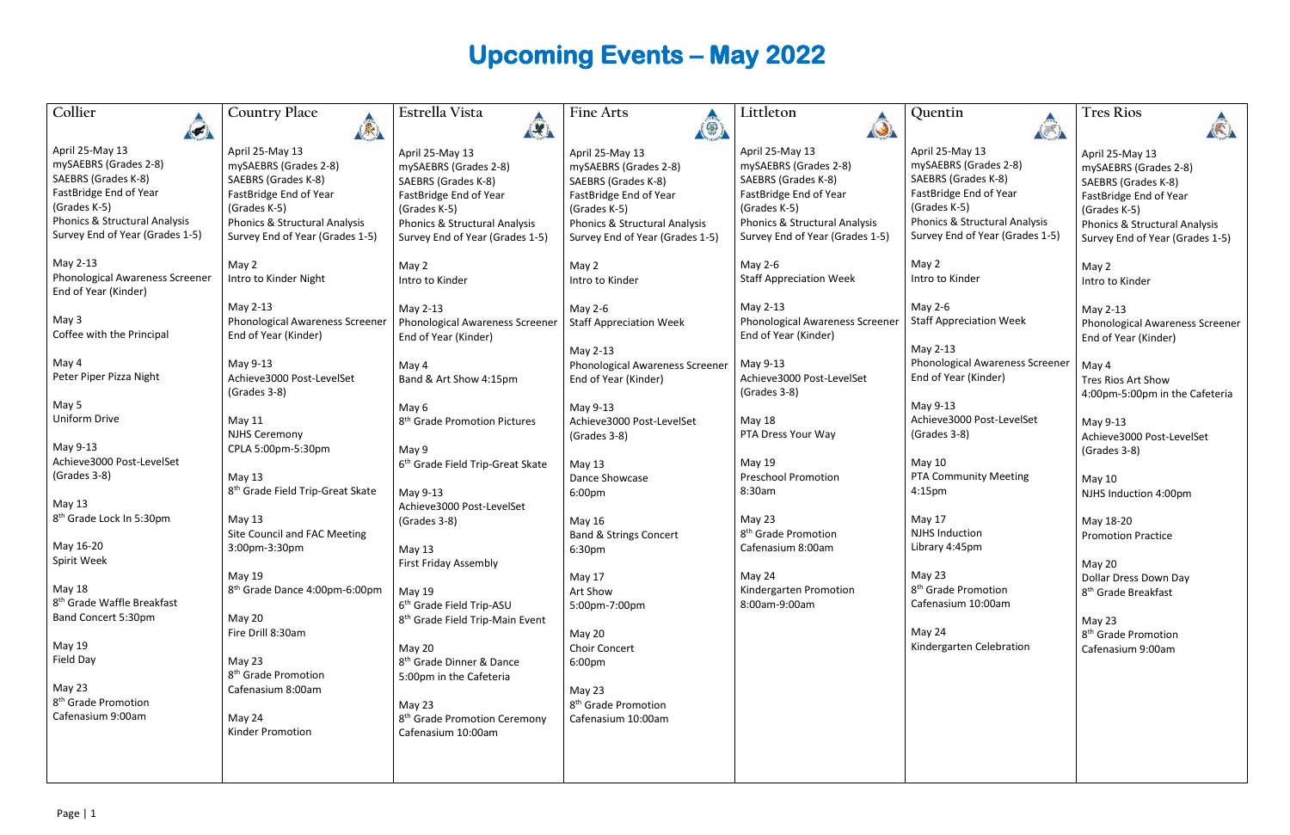## **Upcoming Events – May 2022**

| Collier                                                 | <b>Country Place</b>                              | Estrella Vista                               | <b>Fine Arts</b>                       | Littleton                       | Quenti                |
|---------------------------------------------------------|---------------------------------------------------|----------------------------------------------|----------------------------------------|---------------------------------|-----------------------|
| $\left( 7\right)$                                       | $\left(\begin{matrix} 1 \\ 0 \end{matrix}\right)$ | $\mathbf{R}$                                 | (8)                                    | $\bigcirc$                      |                       |
| April 25-May 13                                         | April 25-May 13                                   | April 25-May 13                              | April 25-May 13                        | April 25-May 13                 | April 25-N            |
| mySAEBRS (Grades 2-8)                                   | mySAEBRS (Grades 2-8)                             | mySAEBRS (Grades 2-8)                        | mySAEBRS (Grades 2-8)                  | mySAEBRS (Grades 2-8)           | mySAEBR               |
| SAEBRS (Grades K-8)                                     | SAEBRS (Grades K-8)                               | SAEBRS (Grades K-8)                          | SAEBRS (Grades K-8)                    | SAEBRS (Grades K-8)             | SAEBRS (              |
| FastBridge End of Year                                  | FastBridge End of Year                            | FastBridge End of Year                       | FastBridge End of Year                 | FastBridge End of Year          | FastBridg             |
| (Grades K-5)                                            | (Grades K-5)                                      | (Grades K-5)                                 | (Grades K-5)                           | (Grades K-5)                    | (Grades K             |
| <b>Phonics &amp; Structural Analysis</b>                | Phonics & Structural Analysis                     | Phonics & Structural Analysis                | Phonics & Structural Analysis          | Phonics & Structural Analysis   | Phonics 8             |
| Survey End of Year (Grades 1-5)                         | Survey End of Year (Grades 1-5)                   | Survey End of Year (Grades 1-5)              | Survey End of Year (Grades 1-5)        | Survey End of Year (Grades 1-5) | Survey Er             |
|                                                         |                                                   |                                              |                                        |                                 |                       |
| May 2-13                                                | May 2                                             | May 2                                        | May 2                                  | May 2-6                         | May 2                 |
| Phonological Awareness Screener<br>End of Year (Kinder) | Intro to Kinder Night                             | Intro to Kinder                              | Intro to Kinder                        | <b>Staff Appreciation Week</b>  | Intro to K            |
|                                                         | May 2-13                                          | May 2-13                                     | May 2-6                                | May 2-13                        | May 2-6               |
| May 3                                                   | <b>Phonological Awareness Screener</b>            | <b>Phonological Awareness Screener</b>       | <b>Staff Appreciation Week</b>         | Phonological Awareness Screener | Staff App             |
| Coffee with the Principal                               | End of Year (Kinder)                              | End of Year (Kinder)                         |                                        | End of Year (Kinder)            |                       |
|                                                         |                                                   |                                              | May 2-13                               |                                 | May 2-13              |
| May 4                                                   | May 9-13                                          | May 4                                        | <b>Phonological Awareness Screener</b> | May 9-13                        | Phonolog              |
| Peter Piper Pizza Night                                 | Achieve3000 Post-LevelSet                         | Band & Art Show 4:15pm                       | End of Year (Kinder)                   | Achieve3000 Post-LevelSet       | End of Ye             |
|                                                         | (Grades 3-8)                                      |                                              |                                        | (Grades 3-8)                    |                       |
| May 5                                                   |                                                   | May 6                                        | May 9-13                               |                                 | May 9-13              |
| Uniform Drive                                           | May 11                                            | 8 <sup>th</sup> Grade Promotion Pictures     | Achieve3000 Post-LevelSet              | <b>May 18</b>                   | Achieve3              |
|                                                         | <b>NJHS Ceremony</b>                              |                                              | (Grades 3-8)                           | PTA Dress Your Way              | (Grades 3             |
| May 9-13                                                | CPLA 5:00pm-5:30pm                                | May 9                                        |                                        |                                 |                       |
| Achieve3000 Post-LevelSet                               |                                                   | 6 <sup>th</sup> Grade Field Trip-Great Skate | May 13                                 | May 19                          | May 10                |
| (Grades 3-8)                                            | May 13                                            |                                              | Dance Showcase                         | <b>Preschool Promotion</b>      | PTA Com               |
|                                                         | 8 <sup>th</sup> Grade Field Trip-Great Skate      | May 9-13                                     | 6:00pm                                 | 8:30am                          | 4:15 <sub>pm</sub>    |
| May 13                                                  |                                                   | Achieve3000 Post-LevelSet                    |                                        |                                 |                       |
| 8 <sup>th</sup> Grade Lock In 5:30pm                    | May 13                                            | (Grades 3-8)                                 | May 16                                 | May 23                          | May 17                |
|                                                         | Site Council and FAC Meeting                      |                                              | <b>Band &amp; Strings Concert</b>      | 8 <sup>th</sup> Grade Promotion | <b>NJHS Indu</b>      |
| May 16-20                                               | 3:00pm-3:30pm                                     | May 13                                       | 6:30pm                                 | Cafenasium 8:00am               | Library 4:            |
| Spirit Week                                             |                                                   | First Friday Assembly                        |                                        |                                 |                       |
|                                                         | May 19                                            |                                              | May 17                                 | May 24                          | May 23                |
| <b>May 18</b>                                           | 8 <sup>th</sup> Grade Dance 4:00pm-6:00pm         | May 19                                       | Art Show                               | Kindergarten Promotion          | 8 <sup>th</sup> Grade |
| 8 <sup>th</sup> Grade Waffle Breakfast                  |                                                   | 6 <sup>th</sup> Grade Field Trip-ASU         | 5:00pm-7:00pm                          | 8:00am-9:00am                   | Cafenasiu             |
| Band Concert 5:30pm                                     | <b>May 20</b>                                     | 8 <sup>th</sup> Grade Field Trip-Main Event  |                                        |                                 |                       |
|                                                         | Fire Drill 8:30am                                 |                                              | May 20                                 |                                 | May 24                |
| May 19                                                  |                                                   | <b>May 20</b>                                | Choir Concert                          |                                 | Kindergar             |
| Field Day                                               | May 23                                            | 8 <sup>th</sup> Grade Dinner & Dance         | 6:00pm                                 |                                 |                       |
|                                                         | 8 <sup>th</sup> Grade Promotion                   | 5:00pm in the Cafeteria                      |                                        |                                 |                       |
| May 23                                                  | Cafenasium 8:00am                                 |                                              | May 23                                 |                                 |                       |
| 8 <sup>th</sup> Grade Promotion                         |                                                   | May 23                                       | 8 <sup>th</sup> Grade Promotion        |                                 |                       |
| Cafenasium 9:00am                                       | May 24                                            | 8 <sup>th</sup> Grade Promotion Ceremony     | Cafenasium 10:00am                     |                                 |                       |
|                                                         | Kinder Promotion                                  | Cafenasium 10:00am                           |                                        |                                 |                       |
|                                                         |                                                   |                                              |                                        |                                 |                       |
|                                                         |                                                   |                                              |                                        |                                 |                       |
|                                                         |                                                   |                                              |                                        |                                 |                       |

May 20 Dollar Dress Down Day 8<sup>th</sup> Grade Breakfast

## **Quentin**



 $May 13$ RS (Grades 2-8) Grades K-8) ge End of Year K-5) & Structural Analysis nd of Year (Grades 1-5)

**Kinder** 

oreciation Week

gical Awareness Screener ear (Kinder)

8000 Post-LevelSet  $(8-8)$ 

munity Meeting

uction :45pm

**Promotion** um 10:00am

rten Celebration

## **Tres Rios**



April 25-May 13 mySAEBRS (Grades 2-8) SAEBRS (Grades K-8) FastBridge End of Year (Grades K-5) Phonics & Structural Analysis Survey End of Year (Grades 1-5)

May 2 Intro to Kinder

May 2-13 Phonological Awareness Screener End of Year (Kinder)

May 4 Tres Rios Art Show 4:00pm-5:00pm in the Cafeteria

May 9-13 Achieve3000 Post-LevelSet (Grades 3-8)

May 10 NJHS Induction 4:00pm

May 18-20 Promotion Practice

May 23 8 th Grade Promotion Cafenasium 9:00am